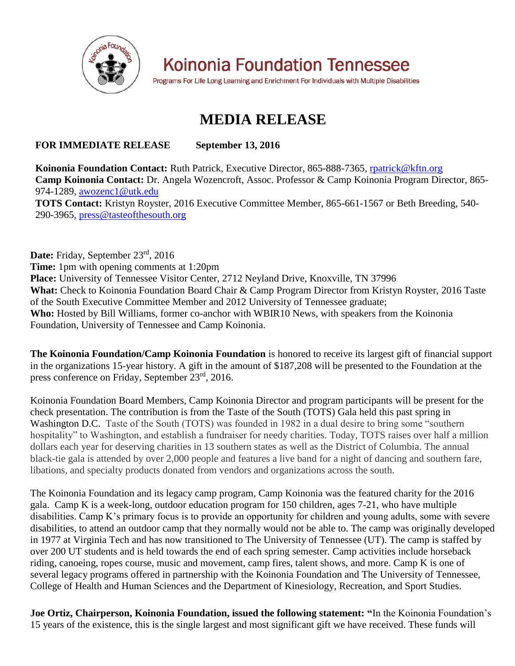

**Koinonia Foundation Tennessee** 

Programs For Life Long Learning and Enrichment For Individuals with Multiple Disabilities

## **MEDIA RELEASE**

## **FOR IMMEDIATE RELEASE September 13, 2016**

**Koinonia Foundation Contact:** Ruth Patrick, Executive Director, 865-888-7365, rpatrick@kftn.org **Camp Koinonia Contact:** Dr. Angela Wozencroft, Assoc. Professor & Camp Koinonia Program Director, 865- 974-1289, awozenc1@utk.edu **TOTS Contact:** Kristyn Royster, 2016 Executive Committee Member, 865-661-1567 or Beth Breeding, 540- 290-3965, press@tasteofthesouth.org

Date: Friday, September 23<sup>rd</sup>, 2016 **Time:** 1pm with opening comments at 1:20pm **Place:** University of Tennessee Visitor Center, 2712 Neyland Drive, Knoxville, TN 37996 **What:** Check to Koinonia Foundation Board Chair & Camp Program Director from Kristyn Royster, 2016 Taste of the South Executive Committee Member and 2012 University of Tennessee graduate; **Who:** Hosted by Bill Williams, former co-anchor with WBIR10 News, with speakers from the Koinonia Foundation, University of Tennessee and Camp Koinonia.

**The Koinonia Foundation/Camp Koinonia Foundation** is honored to receive its largest gift of financial support in the organizations 15-year history. A gift in the amount of \$187,208 will be presented to the Foundation at the press conference on Friday, September 23rd, 2016.

Koinonia Foundation Board Members, Camp Koinonia Director and program participants will be present for the check presentation. The contribution is from the Taste of the South (TOTS) Gala held this past spring in Washington D.C. Taste of the South (TOTS) was founded in 1982 in a dual desire to bring some "southern hospitality" to Washington, and establish a fundraiser for needy charities. Today, TOTS raises over half a million dollars each year for deserving charities in 13 southern states as well as the District of Columbia. The annual black-tie gala is attended by over 2,000 people and features a live band for a night of dancing and southern fare, libations, and specialty products donated from vendors and organizations across the south.

The Koinonia Foundation and its legacy camp program, Camp Koinonia was the featured charity for the 2016 gala. Camp K is a week-long, outdoor education program for 150 children, ages 7-21, who have multiple disabilities. Camp K's primary focus is to provide an opportunity for children and young adults, some with severe disabilities, to attend an outdoor camp that they normally would not be able to. The camp was originally developed in 1977 at Virginia Tech and has now transitioned to The University of Tennessee (UT). The camp is staffed by over 200 UT students and is held towards the end of each spring semester. Camp activities include horseback riding, canoeing, ropes course, music and movement, camp fires, talent shows, and more. Camp K is one of several legacy programs offered in partnership with the Koinonia Foundation and The University of Tennessee, College of Health and Human Sciences and the Department of Kinesiology, Recreation, and Sport Studies.

**Joe Ortiz, Chairperson, Koinonia Foundation, issued the following statement: "**In the Koinonia Foundation's 15 years of the existence, this is the single largest and most significant gift we have received. These funds will